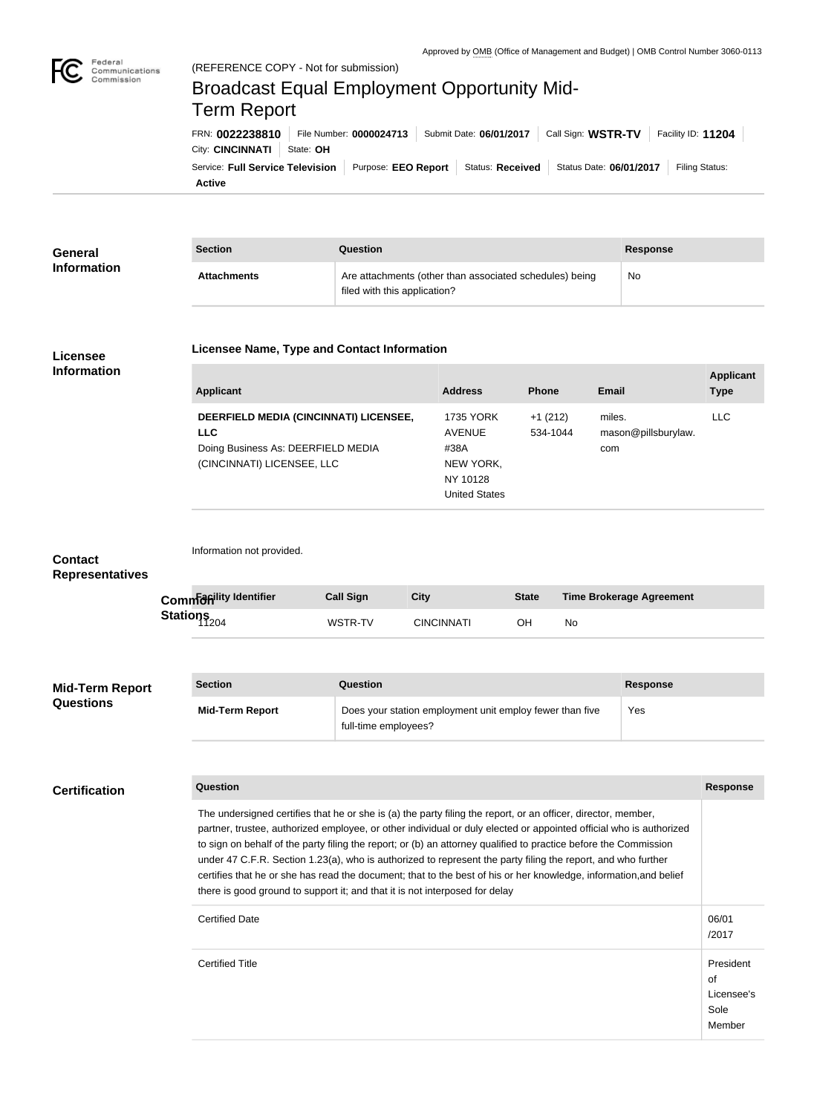

Federal

# Communications Commission Broadcast Equal Employment Opportunity Mid-Term ReportFRN: **0022238810** File Number: **0000024713** Submit Date: **06/01/2017** Call Sign: **WSTR-TV** Facility ID: **11204** City: **CINCINNATI** State: **OH** Service: Full Service Television | Purpose: EEO Report | Status: Received | Status Date: 06/01/2017 | Filing Status: **Active**

| <b>General</b><br><b>Information</b> | <b>Section</b>     | Question                                                                                | <b>Response</b> |
|--------------------------------------|--------------------|-----------------------------------------------------------------------------------------|-----------------|
|                                      | <b>Attachments</b> | Are attachments (other than associated schedules) being<br>filed with this application? | No              |

### **Licensee Information**

### **Licensee Name, Type and Contact Information**

#### **Applicant Address Phone Email Applicant Type DEERFIELD MEDIA (CINCINNATI) LICENSEE, LLC** Doing Business As: DEERFIELD MEDIA (CINCINNATI) LICENSEE, LLC 1735 YORK AVENUE #38A NEW YORK, NY 10128 United States +1 (212) 534-1044 miles. mason@pillsburylaw. com LLC

Information not provided.

### **Contact Representatives**

| Common dity Identifier | <b>Call Sign</b> | City              | <b>State</b> | Time Brokerage Agreement |
|------------------------|------------------|-------------------|--------------|--------------------------|
| Stations               | WSTR-TV          | <b>CINCINNATI</b> | OН           | No                       |

| <b>Mid-Term Report</b><br><b>Questions</b> | <b>Section</b>         | Question                                                                         | <b>Response</b> |
|--------------------------------------------|------------------------|----------------------------------------------------------------------------------|-----------------|
|                                            | <b>Mid-Term Report</b> | Does your station employment unit employ fewer than five<br>full-time employees? | Yes             |

## **Certification**

The undersigned certifies that he or she is (a) the party filing the report, or an officer, director, member, partner, trustee, authorized employee, or other individual or duly elected or appointed official who is authorized to sign on behalf of the party filing the report; or (b) an attorney qualified to practice before the Commission under 47 C.F.R. Section 1.23(a), who is authorized to represent the party filing the report, and who further certifies that he or she has read the document; that to the best of his or her knowledge, information,and belief there is good ground to support it; and that it is not interposed for delay Certified Date and the contract of the contract of the contract of the contract of the contract of the contract of the contract of the contract of the contract of the contract of the contract of the contract of the contrac /2017 Certified Title President

**Question Response**

of Licensee's Sole Member